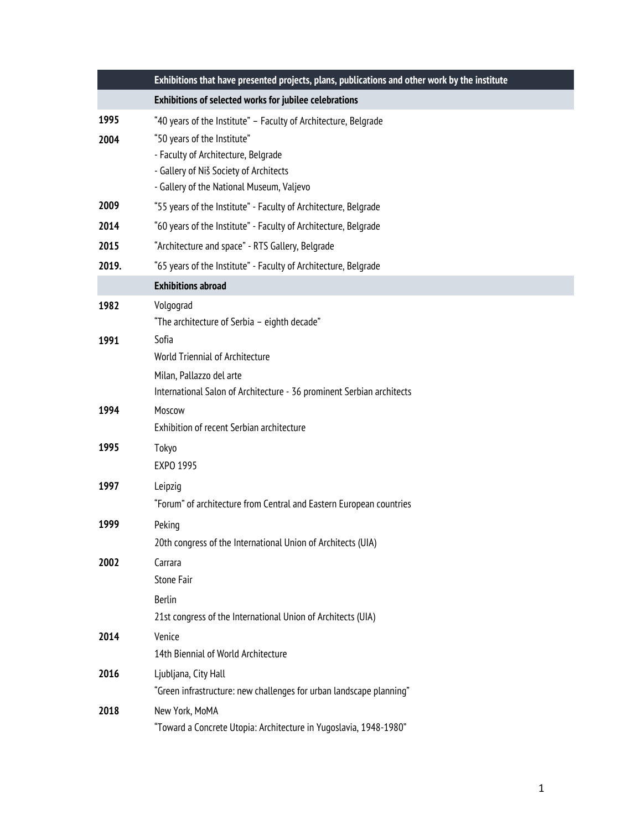|       | Exhibitions that have presented projects, plans, publications and other work by the institute |
|-------|-----------------------------------------------------------------------------------------------|
|       | Exhibitions of selected works for jubilee celebrations                                        |
| 1995  | "40 years of the Institute" - Faculty of Architecture, Belgrade                               |
| 2004  | "50 years of the Institute"                                                                   |
|       | - Faculty of Architecture, Belgrade                                                           |
|       | - Gallery of Niš Society of Architects<br>- Gallery of the National Museum, Valjevo           |
| 2009  | "55 years of the Institute" - Faculty of Architecture, Belgrade                               |
| 2014  | "60 years of the Institute" - Faculty of Architecture, Belgrade                               |
| 2015  | "Architecture and space" - RTS Gallery, Belgrade                                              |
| 2019. | "65 years of the Institute" - Faculty of Architecture, Belgrade                               |
|       | <b>Exhibitions abroad</b>                                                                     |
| 1982  | Volgograd                                                                                     |
|       | "The architecture of Serbia - eighth decade"                                                  |
| 1991  | Sofia                                                                                         |
|       | <b>World Triennial of Architecture</b>                                                        |
|       | Milan, Pallazzo del arte                                                                      |
|       | International Salon of Architecture - 36 prominent Serbian architects                         |
| 1994  | Moscow<br>Exhibition of recent Serbian architecture                                           |
| 1995  | Tokyo                                                                                         |
|       | EXPO 1995                                                                                     |
| 1997  | Leipzig                                                                                       |
|       | "Forum" of architecture from Central and Eastern European countries                           |
| 1999  | Peking                                                                                        |
|       | 20th congress of the International Union of Architects (UIA)                                  |
| 2002  | Carrara                                                                                       |
|       | Stone Fair                                                                                    |
|       | <b>Berlin</b>                                                                                 |
|       | 21st congress of the International Union of Architects (UIA)                                  |
| 2014  | Venice                                                                                        |
|       | 14th Biennial of World Architecture                                                           |
| 2016  | Ljubljana, City Hall                                                                          |
|       | "Green infrastructure: new challenges for urban landscape planning"                           |
| 2018  | New York, MoMA<br>"Toward a Concrete Utopia: Architecture in Yugoslavia, 1948-1980"           |
|       |                                                                                               |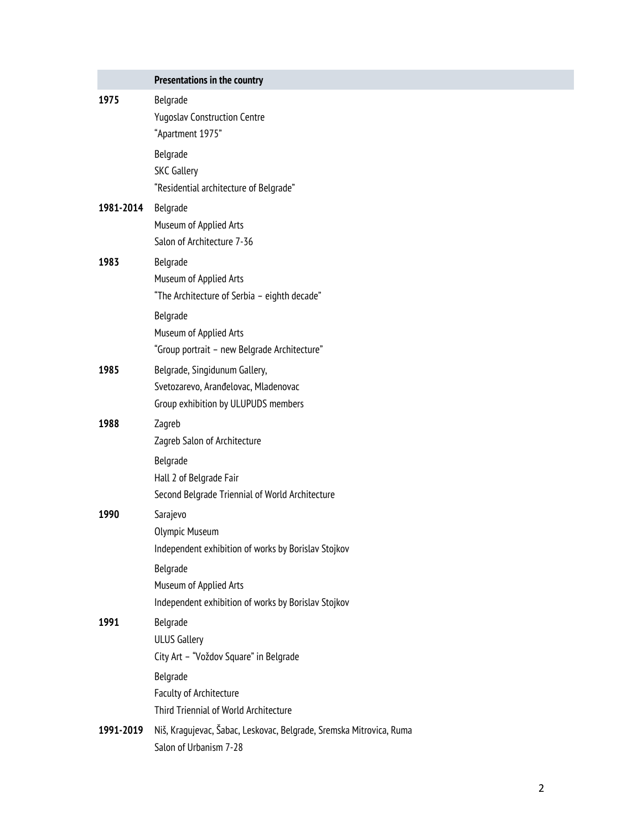|           | Presentations in the country                                                                                                                                                   |
|-----------|--------------------------------------------------------------------------------------------------------------------------------------------------------------------------------|
| 1975      | Belgrade<br><b>Yugoslav Construction Centre</b><br>"Apartment 1975"<br>Belgrade<br><b>SKC Gallery</b><br>"Residential architecture of Belgrade"                                |
| 1981-2014 | Belgrade<br>Museum of Applied Arts<br>Salon of Architecture 7-36                                                                                                               |
| 1983      | Belgrade<br>Museum of Applied Arts<br>"The Architecture of Serbia - eighth decade"<br>Belgrade<br>Museum of Applied Arts<br>"Group portrait - new Belgrade Architecture"       |
| 1985      | Belgrade, Singidunum Gallery,<br>Svetozarevo, Aranđelovac, Mladenovac<br>Group exhibition by ULUPUDS members                                                                   |
| 1988      | Zagreb<br>Zagreb Salon of Architecture<br>Belgrade<br>Hall 2 of Belgrade Fair<br>Second Belgrade Triennial of World Architecture                                               |
| 1990      | Sarajevo<br>Olympic Museum<br>Independent exhibition of works by Borislav Stojkov<br>Belgrade<br>Museum of Applied Arts<br>Independent exhibition of works by Borislav Stojkov |
| 1991      | Belgrade<br><b>ULUS Gallery</b><br>City Art - "Voždov Square" in Belgrade<br>Belgrade<br><b>Faculty of Architecture</b><br>Third Triennial of World Architecture               |
| 1991-2019 | Niš, Kragujevac, Šabac, Leskovac, Belgrade, Sremska Mitrovica, Ruma<br>Salon of Urbanism 7-28                                                                                  |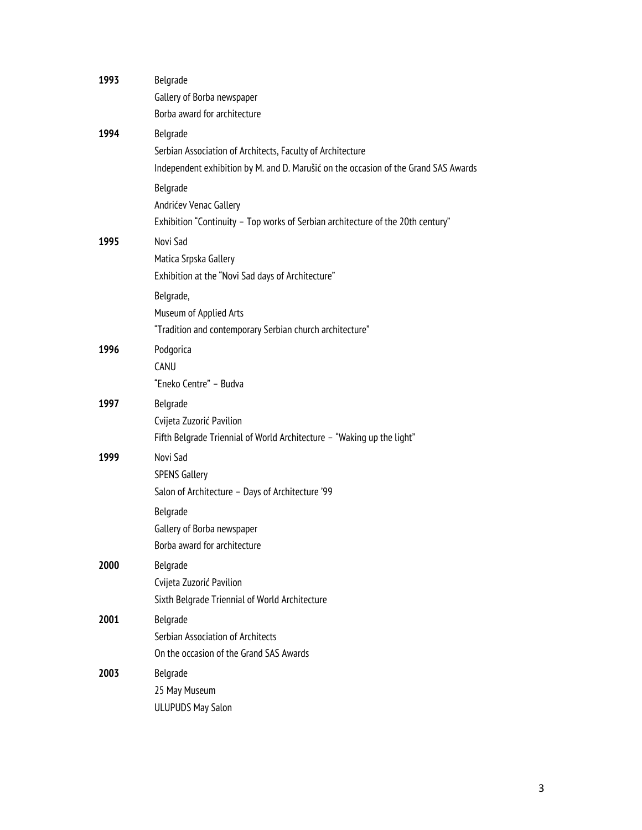| 1993 | Belgrade<br>Gallery of Borba newspaper<br>Borba award for architecture                                                                                        |
|------|---------------------------------------------------------------------------------------------------------------------------------------------------------------|
| 1994 | Belgrade<br>Serbian Association of Architects, Faculty of Architecture<br>Independent exhibition by M. and D. Marušić on the occasion of the Grand SAS Awards |
|      | Belgrade<br>Andrićev Venac Gallery<br>Exhibition "Continuity - Top works of Serbian architecture of the 20th century"                                         |
| 1995 | Novi Sad<br>Matica Srpska Gallery<br>Exhibition at the "Novi Sad days of Architecture"                                                                        |
|      | Belgrade,<br>Museum of Applied Arts<br>"Tradition and contemporary Serbian church architecture"                                                               |
| 1996 | Podgorica<br>CANU<br>"Eneko Centre" - Budva                                                                                                                   |
| 1997 | Belgrade<br>Cvijeta Zuzorić Pavilion<br>Fifth Belgrade Triennial of World Architecture - "Waking up the light"                                                |
| 1999 | Novi Sad<br><b>SPENS Gallery</b><br>Salon of Architecture - Days of Architecture '99<br>Belgrade<br>Gallery of Borba newspaper                                |
| 2000 | Borba award for architecture<br>Belgrade<br>Cvijeta Zuzorić Pavilion<br>Sixth Belgrade Triennial of World Architecture                                        |
| 2001 | Belgrade<br>Serbian Association of Architects<br>On the occasion of the Grand SAS Awards                                                                      |
| 2003 | Belgrade<br>25 May Museum<br><b>ULUPUDS May Salon</b>                                                                                                         |
|      |                                                                                                                                                               |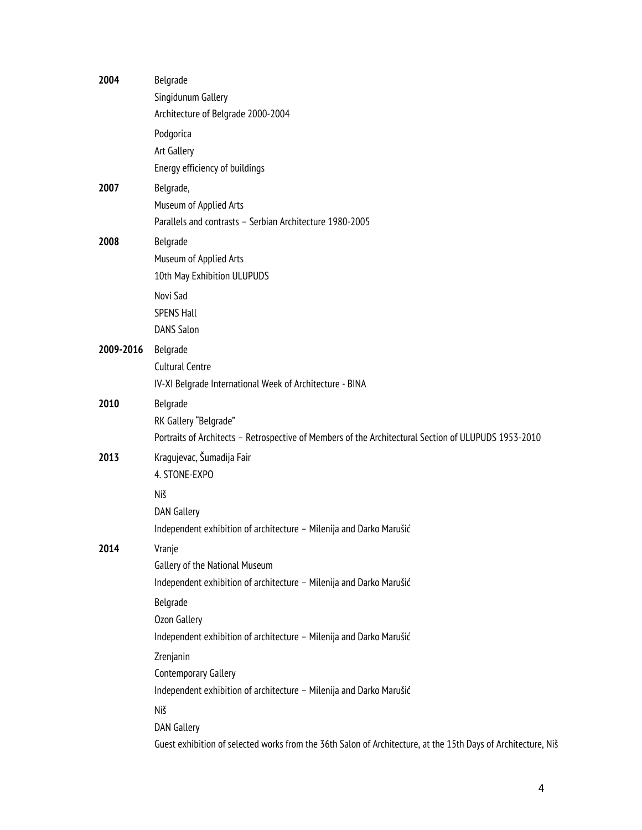| 2004      | Belgrade                                                                                                      |
|-----------|---------------------------------------------------------------------------------------------------------------|
|           | Singidunum Gallery                                                                                            |
|           | Architecture of Belgrade 2000-2004                                                                            |
|           | Podgorica                                                                                                     |
|           | Art Gallery                                                                                                   |
|           | Energy efficiency of buildings                                                                                |
| 2007      | Belgrade,                                                                                                     |
|           | Museum of Applied Arts                                                                                        |
|           | Parallels and contrasts - Serbian Architecture 1980-2005                                                      |
| 2008      | Belgrade                                                                                                      |
|           | Museum of Applied Arts                                                                                        |
|           | 10th May Exhibition ULUPUDS                                                                                   |
|           | Novi Sad                                                                                                      |
|           | <b>SPENS Hall</b>                                                                                             |
|           | <b>DANS Salon</b>                                                                                             |
| 2009-2016 | Belgrade                                                                                                      |
|           | <b>Cultural Centre</b>                                                                                        |
|           | IV-XI Belgrade International Week of Architecture - BINA                                                      |
| 2010      | Belgrade                                                                                                      |
|           | RK Gallery "Belgrade"                                                                                         |
|           | Portraits of Architects - Retrospective of Members of the Architectural Section of ULUPUDS 1953-2010          |
| 2013      | Kragujevac, Šumadija Fair                                                                                     |
|           | 4. STONE-EXPO                                                                                                 |
|           | Niš                                                                                                           |
|           | <b>DAN Gallery</b>                                                                                            |
|           | Independent exhibition of architecture - Milenija and Darko Marušić                                           |
| 2014      | Vranje                                                                                                        |
|           | Gallery of the National Museum                                                                                |
|           | Independent exhibition of architecture - Milenija and Darko Marušić                                           |
|           | Belgrade                                                                                                      |
|           | Ozon Gallery                                                                                                  |
|           | Independent exhibition of architecture - Milenija and Darko Marušić                                           |
|           | Zrenjanin                                                                                                     |
|           | <b>Contemporary Gallery</b>                                                                                   |
|           | Independent exhibition of architecture - Milenija and Darko Marušić                                           |
|           | Niš                                                                                                           |
|           | <b>DAN Gallery</b>                                                                                            |
|           | Guest exhibition of selected works from the 36th Salon of Architecture, at the 15th Days of Architecture, Niš |